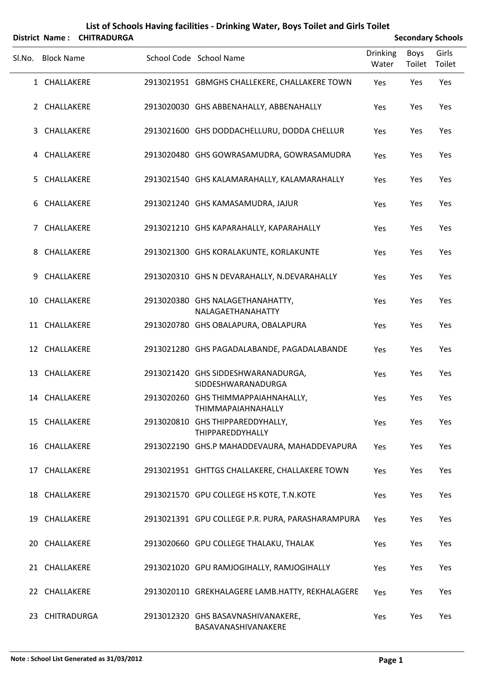| List of Schools Having facilities - Drinking Water, Boys Toilet and Girls Toilet |                       |                    |  |                                                             |                          |                |                          |
|----------------------------------------------------------------------------------|-----------------------|--------------------|--|-------------------------------------------------------------|--------------------------|----------------|--------------------------|
|                                                                                  | <b>District Name:</b> | <b>CHITRADURGA</b> |  |                                                             |                          |                | <b>Secondary Schools</b> |
| SI.No.                                                                           | <b>Block Name</b>     |                    |  | School Code School Name                                     | <b>Drinking</b><br>Water | Boys<br>Toilet | Girls<br>Toilet          |
|                                                                                  | 1 CHALLAKERE          |                    |  | 2913021951 GBMGHS CHALLEKERE, CHALLAKERE TOWN               | Yes                      | Yes            | Yes                      |
|                                                                                  | 2 CHALLAKERE          |                    |  | 2913020030 GHS ABBENAHALLY, ABBENAHALLY                     | Yes                      | Yes            | Yes                      |
| 3                                                                                | CHALLAKERE            |                    |  | 2913021600 GHS DODDACHELLURU, DODDA CHELLUR                 | Yes                      | Yes            | Yes                      |
|                                                                                  | 4 CHALLAKERE          |                    |  | 2913020480 GHS GOWRASAMUDRA, GOWRASAMUDRA                   | Yes                      | Yes            | Yes                      |
| 5.                                                                               | CHALLAKERE            |                    |  | 2913021540 GHS KALAMARAHALLY, KALAMARAHALLY                 | Yes                      | Yes            | Yes                      |
| 6                                                                                | CHALLAKERE            |                    |  | 2913021240 GHS KAMASAMUDRA, JAJUR                           | Yes                      | Yes            | Yes                      |
| $7^{\circ}$                                                                      | CHALLAKERE            |                    |  | 2913021210 GHS KAPARAHALLY, KAPARAHALLY                     | Yes                      | Yes            | Yes                      |
| 8                                                                                | CHALLAKERE            |                    |  | 2913021300 GHS KORALAKUNTE, KORLAKUNTE                      | Yes                      | Yes            | Yes                      |
| 9                                                                                | CHALLAKERE            |                    |  | 2913020310 GHS N DEVARAHALLY, N.DEVARAHALLY                 | Yes                      | Yes            | Yes                      |
|                                                                                  | 10 CHALLAKERE         |                    |  | 2913020380 GHS NALAGETHANAHATTY,<br>NALAGAETHANAHATTY       | Yes                      | Yes            | Yes                      |
|                                                                                  | 11 CHALLAKERE         |                    |  | 2913020780 GHS OBALAPURA, OBALAPURA                         | Yes                      | Yes            | Yes                      |
|                                                                                  | 12 CHALLAKERE         |                    |  | 2913021280 GHS PAGADALABANDE, PAGADALABANDE                 | Yes                      | Yes            | Yes                      |
|                                                                                  | 13 CHALLAKERE         |                    |  | 2913021420 GHS SIDDESHWARANADURGA,<br>SIDDESHWARANADURGA    | Yes                      | Yes            | Yes                      |
|                                                                                  | 14 CHALLAKERE         |                    |  | 2913020260 GHS THIMMAPPAIAHNAHALLY,<br>THIMMAPAIAHNAHALLY   | Yes                      | Yes            | Yes                      |
|                                                                                  | 15 CHALLAKERE         |                    |  | 2913020810 GHS THIPPAREDDYHALLY,<br><b>THIPPAREDDYHALLY</b> | Yes                      | Yes            | Yes                      |
|                                                                                  | 16 CHALLAKERE         |                    |  | 2913022190 GHS.P MAHADDEVAURA, MAHADDEVAPURA                | Yes                      | Yes            | Yes                      |
|                                                                                  | 17 CHALLAKERE         |                    |  | 2913021951 GHTTGS CHALLAKERE, CHALLAKERE TOWN               | Yes                      | Yes            | Yes                      |
|                                                                                  | 18 CHALLAKERE         |                    |  | 2913021570 GPU COLLEGE HS KOTE, T.N.KOTE                    | Yes                      | Yes            | Yes                      |
|                                                                                  | 19 CHALLAKERE         |                    |  | 2913021391 GPU COLLEGE P.R. PURA, PARASHARAMPURA            | Yes                      | Yes            | Yes                      |
| 20                                                                               | CHALLAKERE            |                    |  | 2913020660 GPU COLLEGE THALAKU, THALAK                      | Yes                      | Yes            | Yes                      |
|                                                                                  | 21 CHALLAKERE         |                    |  | 2913021020 GPU RAMJOGIHALLY, RAMJOGIHALLY                   | Yes                      | Yes            | Yes                      |
|                                                                                  | 22 CHALLAKERE         |                    |  | 2913020110 GREKHALAGERE LAMB.HATTY, REKHALAGERE             | Yes                      | Yes            | Yes                      |
|                                                                                  | 23 CHITRADURGA        |                    |  | 2913012320 GHS BASAVNASHIVANAKERE,<br>BASAVANASHIVANAKERE   | Yes                      | Yes            | Yes                      |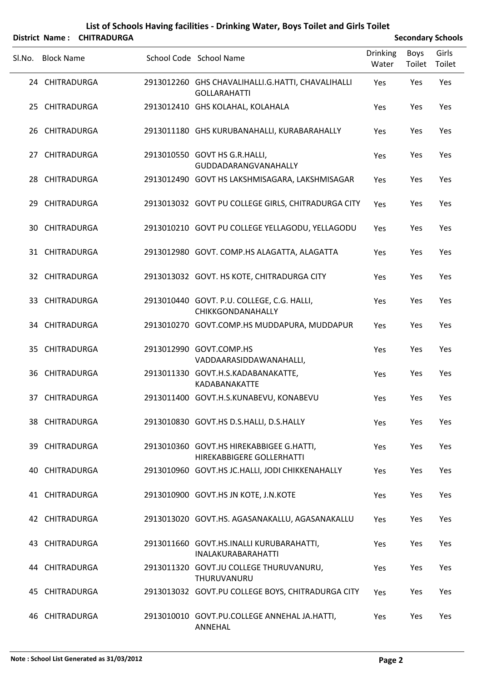|        |                   | District Name: CHITRADURGA |                                                                          |                          | <b>Secondary Schools</b> |                 |
|--------|-------------------|----------------------------|--------------------------------------------------------------------------|--------------------------|--------------------------|-----------------|
| Sl.No. | <b>Block Name</b> |                            | School Code School Name                                                  | <b>Drinking</b><br>Water | Boys<br>Toilet           | Girls<br>Toilet |
|        | 24 CHITRADURGA    |                            | 2913012260 GHS CHAVALIHALLI.G.HATTI, CHAVALIHALLI<br><b>GOLLARAHATTI</b> | Yes                      | Yes                      | Yes             |
|        | 25 CHITRADURGA    |                            | 2913012410 GHS KOLAHAL, KOLAHALA                                         | Yes                      | Yes                      | Yes             |
|        | 26 CHITRADURGA    |                            | 2913011180 GHS KURUBANAHALLI, KURABARAHALLY                              | Yes                      | Yes                      | Yes             |
|        | 27 CHITRADURGA    |                            | 2913010550 GOVT HS G.R.HALLI,<br>GUDDADARANGVANAHALLY                    | Yes                      | Yes                      | Yes             |
|        | 28 CHITRADURGA    |                            | 2913012490 GOVT HS LAKSHMISAGARA, LAKSHMISAGAR                           | Yes                      | Yes                      | Yes             |
|        | 29 CHITRADURGA    |                            | 2913013032 GOVT PU COLLEGE GIRLS, CHITRADURGA CITY                       | Yes                      | Yes                      | Yes             |
|        | 30 CHITRADURGA    |                            | 2913010210 GOVT PU COLLEGE YELLAGODU, YELLAGODU                          | Yes                      | Yes                      | Yes             |
|        | 31 CHITRADURGA    |                            | 2913012980 GOVT. COMP.HS ALAGATTA, ALAGATTA                              | Yes                      | Yes                      | Yes             |
|        | 32 CHITRADURGA    |                            | 2913013032 GOVT. HS KOTE, CHITRADURGA CITY                               | Yes                      | Yes                      | Yes             |
|        | 33 CHITRADURGA    |                            | 2913010440 GOVT. P.U. COLLEGE, C.G. HALLI,<br>CHIKKGONDANAHALLY          | Yes                      | Yes                      | Yes             |
|        | 34 CHITRADURGA    |                            | 2913010270 GOVT.COMP.HS MUDDAPURA, MUDDAPUR                              | Yes                      | Yes                      | Yes             |
|        | 35 CHITRADURGA    |                            | 2913012990 GOVT.COMP.HS<br>VADDAARASIDDAWANAHALLI,                       | Yes                      | Yes                      | Yes             |
|        | 36 CHITRADURGA    |                            | 2913011330 GOVT.H.S.KADABANAKATTE,<br>KADABANAKATTE                      | Yes                      | Yes                      | Yes             |
|        | 37 CHITRADURGA    |                            | 2913011400 GOVT.H.S.KUNABEVU, KONABEVU                                   | Yes                      | Yes                      | Yes             |
|        | 38 CHITRADURGA    |                            | 2913010830 GOVT.HS D.S.HALLI, D.S.HALLY                                  | Yes                      | Yes                      | Yes             |
|        | 39 CHITRADURGA    |                            | 2913010360 GOVT.HS HIREKABBIGEE G.HATTI,<br>HIREKABBIGERE GOLLERHATTI    | Yes                      | Yes                      | Yes             |
|        | 40 CHITRADURGA    |                            | 2913010960 GOVT.HS JC.HALLI, JODI CHIKKENAHALLY                          | Yes                      | Yes                      | Yes             |
|        | 41 CHITRADURGA    |                            | 2913010900 GOVT.HS JN KOTE, J.N.KOTE                                     | Yes                      | Yes                      | Yes             |
|        | 42 CHITRADURGA    |                            | 2913013020 GOVT.HS. AGASANAKALLU, AGASANAKALLU                           | Yes                      | Yes                      | Yes             |
|        | 43 CHITRADURGA    |                            | 2913011660 GOVT.HS.INALLI KURUBARAHATTI,<br><b>INALAKURABARAHATTI</b>    | Yes                      | Yes                      | Yes             |
|        | 44 CHITRADURGA    |                            | 2913011320 GOVT.JU COLLEGE THURUVANURU,<br>THURUVANURU                   | Yes                      | Yes                      | Yes             |
|        | 45 CHITRADURGA    |                            | 2913013032 GOVT.PU COLLEGE BOYS, CHITRADURGA CITY                        | Yes                      | Yes                      | Yes             |
|        | 46 CHITRADURGA    |                            | 2913010010 GOVT.PU.COLLEGE ANNEHAL JA.HATTI,<br>ANNEHAL                  | Yes                      | Yes                      | Yes             |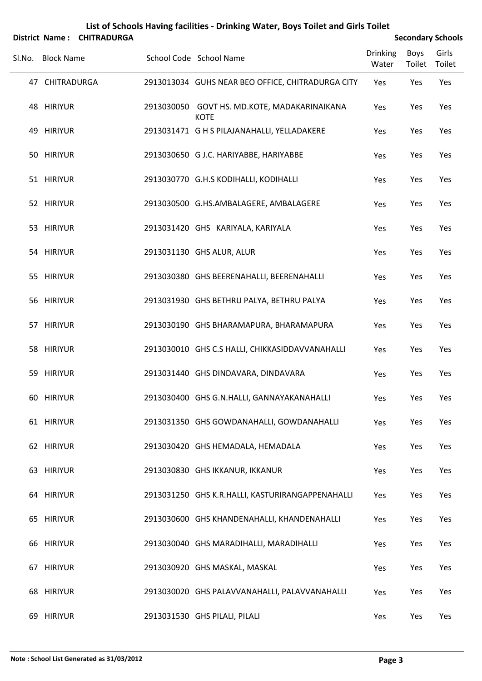|        |                   | District Name: CHITRADURGA |                                                             |                          | <b>Secondary Schools</b> |                 |
|--------|-------------------|----------------------------|-------------------------------------------------------------|--------------------------|--------------------------|-----------------|
| Sl.No. | <b>Block Name</b> |                            | School Code School Name                                     | <b>Drinking</b><br>Water | Boys<br>Toilet           | Girls<br>Toilet |
|        | 47 CHITRADURGA    |                            | 2913013034 GUHS NEAR BEO OFFICE, CHITRADURGA CITY           | Yes                      | Yes                      | Yes             |
|        | 48 HIRIYUR        |                            | 2913030050 GOVT HS. MD.KOTE, MADAKARINAIKANA<br><b>KOTE</b> | Yes                      | Yes                      | Yes             |
|        | 49 HIRIYUR        |                            | 2913031471 G H S PILAJANAHALLI, YELLADAKERE                 | Yes                      | Yes                      | Yes             |
|        | 50 HIRIYUR        |                            | 2913030650 G J.C. HARIYABBE, HARIYABBE                      | Yes                      | Yes                      | Yes             |
|        | 51 HIRIYUR        |                            | 2913030770 G.H.S KODIHALLI, KODIHALLI                       | Yes                      | Yes                      | Yes             |
|        | 52 HIRIYUR        |                            | 2913030500 G.HS.AMBALAGERE, AMBALAGERE                      | Yes                      | Yes                      | Yes             |
|        | 53 HIRIYUR        |                            | 2913031420 GHS KARIYALA, KARIYALA                           | Yes                      | Yes                      | Yes             |
|        | 54 HIRIYUR        |                            | 2913031130 GHS ALUR, ALUR                                   | Yes                      | Yes                      | Yes             |
|        | 55 HIRIYUR        |                            | 2913030380 GHS BEERENAHALLI, BEERENAHALLI                   | Yes                      | Yes                      | Yes             |
|        | 56 HIRIYUR        |                            | 2913031930 GHS BETHRU PALYA, BETHRU PALYA                   | Yes                      | Yes                      | Yes             |
|        | 57 HIRIYUR        |                            | 2913030190 GHS BHARAMAPURA, BHARAMAPURA                     | Yes                      | Yes                      | Yes             |
|        | 58 HIRIYUR        |                            | 2913030010 GHS C.S HALLI, CHIKKASIDDAVVANAHALLI             | Yes                      | Yes                      | Yes             |
|        | 59 HIRIYUR        |                            | 2913031440 GHS DINDAVARA, DINDAVARA                         | Yes                      | Yes                      | Yes             |
|        | 60 HIRIYUR        |                            | 2913030400 GHS G.N.HALLI, GANNAYAKANAHALLI                  | Yes                      | Yes                      | Yes             |
|        | 61 HIRIYUR        |                            | 2913031350 GHS GOWDANAHALLI, GOWDANAHALLI                   | Yes                      | Yes                      | Yes             |
|        | 62 HIRIYUR        |                            | 2913030420 GHS HEMADALA, HEMADALA                           | Yes                      | Yes                      | Yes             |
|        | 63 HIRIYUR        |                            | 2913030830 GHS IKKANUR, IKKANUR                             | Yes                      | Yes                      | Yes             |
|        | 64 HIRIYUR        |                            | 2913031250 GHS K.R.HALLI, KASTURIRANGAPPENAHALLI            | Yes                      | Yes                      | Yes             |
|        | 65 HIRIYUR        |                            | 2913030600 GHS KHANDENAHALLI, KHANDENAHALLI                 | Yes                      | Yes                      | Yes             |
|        | 66 HIRIYUR        |                            | 2913030040 GHS MARADIHALLI, MARADIHALLI                     | Yes                      | Yes                      | Yes             |
|        | 67 HIRIYUR        |                            | 2913030920 GHS MASKAL, MASKAL                               | Yes                      | Yes                      | Yes             |
|        | 68 HIRIYUR        |                            | 2913030020 GHS PALAVVANAHALLI, PALAVVANAHALLI               | Yes                      | Yes                      | Yes             |
|        | 69 HIRIYUR        |                            | 2913031530 GHS PILALI, PILALI                               | Yes                      | Yes                      | Yes             |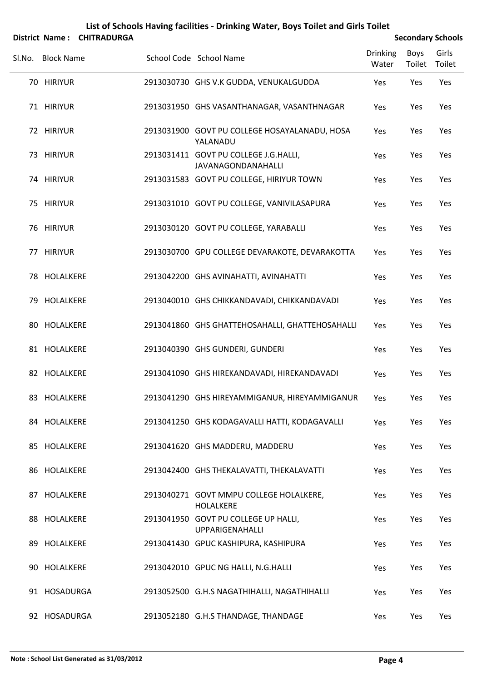|        | <b>District Name:</b> | <b>CHITRADURGA</b> |                                                             | <b>Secondary Schools</b> |                       |                 |  |
|--------|-----------------------|--------------------|-------------------------------------------------------------|--------------------------|-----------------------|-----------------|--|
| SI.No. | <b>Block Name</b>     |                    | School Code School Name                                     | <b>Drinking</b><br>Water | <b>Boys</b><br>Toilet | Girls<br>Toilet |  |
|        | 70 HIRIYUR            |                    | 2913030730 GHS V.K GUDDA, VENUKALGUDDA                      | Yes                      | Yes                   | Yes             |  |
|        | 71 HIRIYUR            |                    | 2913031950 GHS VASANTHANAGAR, VASANTHNAGAR                  | Yes                      | Yes                   | Yes             |  |
|        | 72 HIRIYUR            |                    | 2913031900 GOVT PU COLLEGE HOSAYALANADU, HOSA<br>YALANADU   | Yes                      | Yes                   | Yes             |  |
|        | 73 HIRIYUR            |                    | 2913031411 GOVT PU COLLEGE J.G.HALLI,<br>JAVANAGONDANAHALLI | Yes                      | Yes                   | Yes             |  |
|        | 74 HIRIYUR            |                    | 2913031583 GOVT PU COLLEGE, HIRIYUR TOWN                    | Yes                      | Yes                   | Yes             |  |
|        | 75 HIRIYUR            |                    | 2913031010 GOVT PU COLLEGE, VANIVILASAPURA                  | Yes                      | Yes                   | Yes             |  |
|        | 76 HIRIYUR            |                    | 2913030120 GOVT PU COLLEGE, YARABALLI                       | Yes                      | Yes                   | Yes             |  |
|        | 77 HIRIYUR            |                    | 2913030700 GPU COLLEGE DEVARAKOTE, DEVARAKOTTA              | Yes                      | Yes                   | Yes             |  |
|        | 78 HOLALKERE          |                    | 2913042200 GHS AVINAHATTI, AVINAHATTI                       | Yes                      | Yes                   | Yes             |  |
|        | 79 HOLALKERE          |                    | 2913040010 GHS CHIKKANDAVADI, CHIKKANDAVADI                 | Yes                      | Yes                   | Yes             |  |
|        | 80 HOLALKERE          |                    | 2913041860 GHS GHATTEHOSAHALLI, GHATTEHOSAHALLI             | Yes                      | Yes                   | Yes             |  |
|        | 81 HOLALKERE          |                    | 2913040390 GHS GUNDERI, GUNDERI                             | Yes                      | Yes                   | Yes             |  |
|        | 82 HOLALKERE          |                    | 2913041090 GHS HIREKANDAVADI, HIREKANDAVADI                 | Yes                      | Yes                   | Yes             |  |
|        | 83 HOLALKERE          |                    | 2913041290 GHS HIREYAMMIGANUR, HIREYAMMIGANUR               | Yes                      | Yes                   | Yes             |  |
|        | 84 HOLALKERE          |                    | 2913041250 GHS KODAGAVALLI HATTI, KODAGAVALLI               | Yes                      | Yes                   | Yes             |  |
|        | 85 HOLALKERE          |                    | 2913041620 GHS MADDERU, MADDERU                             | Yes                      | Yes                   | Yes             |  |
|        | 86 HOLALKERE          |                    | 2913042400 GHS THEKALAVATTI, THEKALAVATTI                   | Yes                      | Yes                   | Yes             |  |
|        | 87 HOLALKERE          |                    | 2913040271 GOVT MMPU COLLEGE HOLALKERE,<br><b>HOLALKERE</b> | Yes                      | Yes                   | Yes             |  |
|        | 88 HOLALKERE          |                    | 2913041950 GOVT PU COLLEGE UP HALLI,<br>UPPARIGENAHALLI     | Yes                      | Yes                   | Yes             |  |
|        | 89 HOLALKERE          |                    | 2913041430 GPUC KASHIPURA, KASHIPURA                        | Yes                      | Yes                   | Yes             |  |
|        | 90 HOLALKERE          |                    | 2913042010 GPUC NG HALLI, N.G.HALLI                         | Yes                      | Yes                   | Yes             |  |
|        | 91 HOSADURGA          |                    | 2913052500 G.H.S NAGATHIHALLI, NAGATHIHALLI                 | Yes                      | Yes                   | Yes             |  |
|        | 92 HOSADURGA          |                    | 2913052180 G.H.S THANDAGE, THANDAGE                         | Yes                      | Yes                   | Yes             |  |